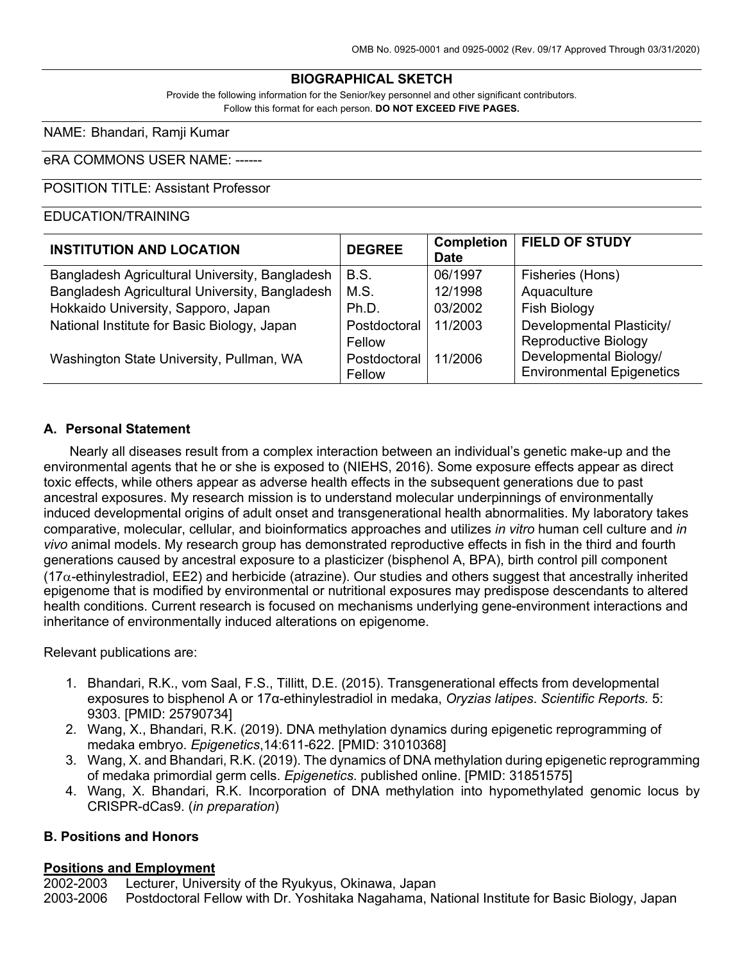#### **BIOGRAPHICAL SKETCH**

Provide the following information for the Senior/key personnel and other significant contributors. Follow this format for each person. **DO NOT EXCEED FIVE PAGES.**

NAME: Bhandari, Ramji Kumar

#### eRA COMMONS USER NAME: ------

#### POSITION TITLE: Assistant Professor

### EDUCATION/TRAINING

| <b>INSTITUTION AND LOCATION</b>                | <b>DEGREE</b> | <b>Completion</b><br><b>Date</b> | <b>FIELD OF STUDY</b>            |
|------------------------------------------------|---------------|----------------------------------|----------------------------------|
| Bangladesh Agricultural University, Bangladesh | B.S.          | 06/1997                          | Fisheries (Hons)                 |
| Bangladesh Agricultural University, Bangladesh | M.S.          | 12/1998                          | Aquaculture                      |
| Hokkaido University, Sapporo, Japan            | Ph.D.         | 03/2002                          | <b>Fish Biology</b>              |
| National Institute for Basic Biology, Japan    | Postdoctoral  | 11/2003                          | Developmental Plasticity/        |
|                                                | Fellow        |                                  | <b>Reproductive Biology</b>      |
| Washington State University, Pullman, WA       | Postdoctoral  | 11/2006                          | Developmental Biology/           |
|                                                | Fellow        |                                  | <b>Environmental Epigenetics</b> |

#### **A. Personal Statement**

Nearly all diseases result from a complex interaction between an individual's genetic make-up and the environmental agents that he or she is exposed to (NIEHS, 2016). Some exposure effects appear as direct toxic effects, while others appear as adverse health effects in the subsequent generations due to past ancestral exposures. My research mission is to understand molecular underpinnings of environmentally induced developmental origins of adult onset and transgenerational health abnormalities. My laboratory takes comparative, molecular, cellular, and bioinformatics approaches and utilizes *in vitro* human cell culture and *in vivo* animal models. My research group has demonstrated reproductive effects in fish in the third and fourth generations caused by ancestral exposure to a plasticizer (bisphenol A, BPA), birth control pill component (17a-ethinylestradiol, EE2) and herbicide (atrazine). Our studies and others suggest that ancestrally inherited epigenome that is modified by environmental or nutritional exposures may predispose descendants to altered health conditions. Current research is focused on mechanisms underlying gene-environment interactions and inheritance of environmentally induced alterations on epigenome.

Relevant publications are:

- 1. Bhandari, R.K., vom Saal, F.S., Tillitt, D.E. (2015). Transgenerational effects from developmental exposures to bisphenol A or 17α-ethinylestradiol in medaka, *Oryzias latipes*. *Scientific Reports.* 5: 9303. [PMID: 25790734]
- 2. Wang, X., Bhandari, R.K. (2019). DNA methylation dynamics during epigenetic reprogramming of medaka embryo. *Epigenetics*,14:611-622. [PMID: 31010368]
- 3. Wang, X. and Bhandari, R.K. (2019). The dynamics of DNA methylation during epigenetic reprogramming of medaka primordial germ cells. *Epigenetics*. published online. [PMID: 31851575]
- 4. Wang, X. Bhandari, R.K. Incorporation of DNA methylation into hypomethylated genomic locus by CRISPR-dCas9. (*in preparation*)

#### **B. Positions and Honors**

#### **Positions and Employment**

2002-2003 Lecturer, University of the Ryukyus, Okinawa, Japan 2003-2006 Postdoctoral Fellow with Dr. Yoshitaka Nagahama, National Institute for Basic Biology, Japan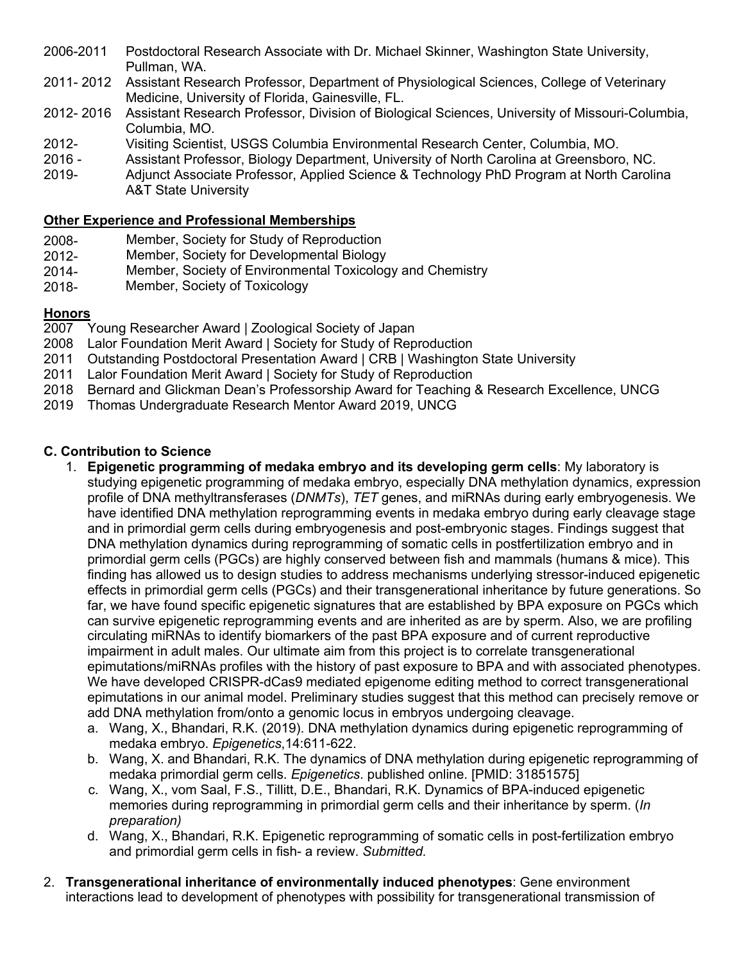- 2006-2011 Postdoctoral Research Associate with Dr. Michael Skinner, Washington State University, Pullman, WA.
- 2011- 2012 Assistant Research Professor, Department of Physiological Sciences, College of Veterinary Medicine, University of Florida, Gainesville, FL.
- 2012- 2016 Assistant Research Professor, Division of Biological Sciences, University of Missouri-Columbia, Columbia, MO.
- 2012- Visiting Scientist, USGS Columbia Environmental Research Center, Columbia, MO.
- 2016 Assistant Professor, Biology Department, University of North Carolina at Greensboro, NC.
- 2019- Adjunct Associate Professor, Applied Science & Technology PhD Program at North Carolina A&T State University

# **Other Experience and Professional Memberships**

- 2008- Member, Society for Study of Reproduction<br>2012- Member, Society for Developmental Biology
- Member, Society for Developmental Biology
- 2014- Member, Society of Environmental Toxicology and Chemistry<br>2018- Member, Society of Toxicology
- Member, Society of Toxicology

# **Honors**<br>2007

- Young Researcher Award | Zoological Society of Japan
- 2008 Lalor Foundation Merit Award | Society for Study of Reproduction
- 2011 Outstanding Postdoctoral Presentation Award | CRB | Washington State University
- 2011 Lalor Foundation Merit Award | Society for Study of Reproduction
- 2018 Bernard and Glickman Dean's Professorship Award for Teaching & Research Excellence, UNCG
- 2019 Thomas Undergraduate Research Mentor Award 2019, UNCG

### **C. Contribution to Science**

- 1. **Epigenetic programming of medaka embryo and its developing germ cells**: My laboratory is studying epigenetic programming of medaka embryo, especially DNA methylation dynamics, expression profile of DNA methyltransferases (*DNMTs*), *TET* genes, and miRNAs during early embryogenesis. We have identified DNA methylation reprogramming events in medaka embryo during early cleavage stage and in primordial germ cells during embryogenesis and post-embryonic stages. Findings suggest that DNA methylation dynamics during reprogramming of somatic cells in postfertilization embryo and in primordial germ cells (PGCs) are highly conserved between fish and mammals (humans & mice). This finding has allowed us to design studies to address mechanisms underlying stressor-induced epigenetic effects in primordial germ cells (PGCs) and their transgenerational inheritance by future generations. So far, we have found specific epigenetic signatures that are established by BPA exposure on PGCs which can survive epigenetic reprogramming events and are inherited as are by sperm. Also, we are profiling circulating miRNAs to identify biomarkers of the past BPA exposure and of current reproductive impairment in adult males. Our ultimate aim from this project is to correlate transgenerational epimutations/miRNAs profiles with the history of past exposure to BPA and with associated phenotypes. We have developed CRISPR-dCas9 mediated epigenome editing method to correct transgenerational epimutations in our animal model. Preliminary studies suggest that this method can precisely remove or add DNA methylation from/onto a genomic locus in embryos undergoing cleavage.
	- a. Wang, X., Bhandari, R.K. (2019). DNA methylation dynamics during epigenetic reprogramming of medaka embryo. *Epigenetics*,14:611-622.
	- b. Wang, X. and Bhandari, R.K. The dynamics of DNA methylation during epigenetic reprogramming of medaka primordial germ cells. *Epigenetics*. published online. [PMID: 31851575]
	- c. Wang, X., vom Saal, F.S., Tillitt, D.E., Bhandari, R.K. Dynamics of BPA-induced epigenetic memories during reprogramming in primordial germ cells and their inheritance by sperm. (*In preparation)*
	- d. Wang, X., Bhandari, R.K. Epigenetic reprogramming of somatic cells in post-fertilization embryo and primordial germ cells in fish- a review. *Submitted.*
- 2. **Transgenerational inheritance of environmentally induced phenotypes**: Gene environment interactions lead to development of phenotypes with possibility for transgenerational transmission of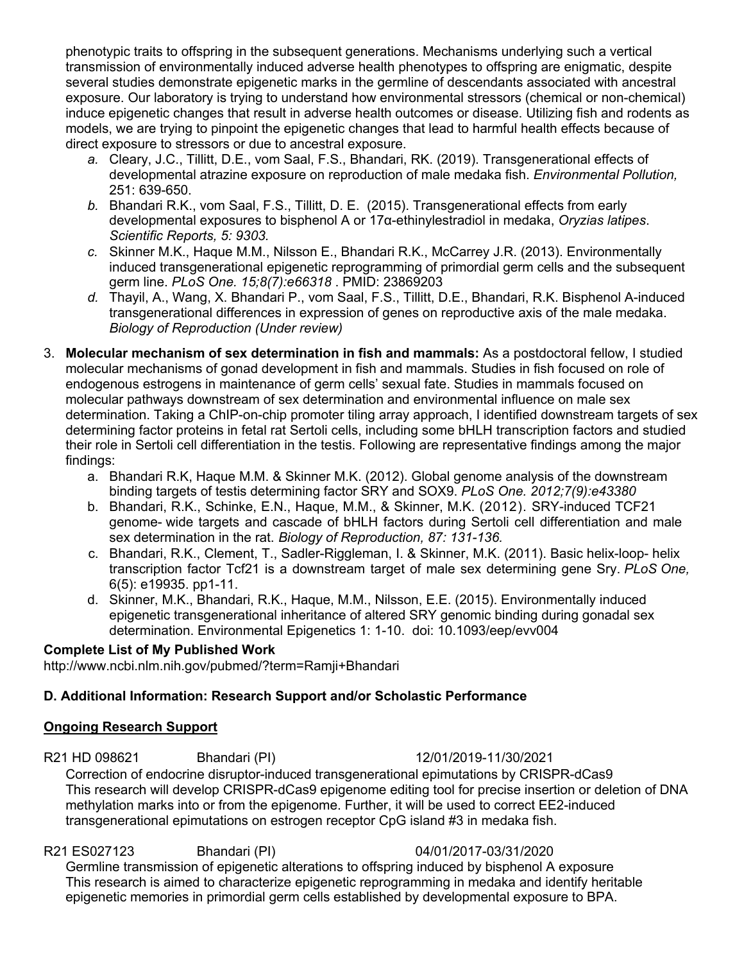phenotypic traits to offspring in the subsequent generations. Mechanisms underlying such a vertical transmission of environmentally induced adverse health phenotypes to offspring are enigmatic, despite several studies demonstrate epigenetic marks in the germline of descendants associated with ancestral exposure. Our laboratory is trying to understand how environmental stressors (chemical or non-chemical) induce epigenetic changes that result in adverse health outcomes or disease. Utilizing fish and rodents as models, we are trying to pinpoint the epigenetic changes that lead to harmful health effects because of direct exposure to stressors or due to ancestral exposure.

- *a.* Cleary, J.C., Tillitt, D.E., vom Saal, F.S., Bhandari, RK. (2019). Transgenerational effects of developmental atrazine exposure on reproduction of male medaka fish. *Environmental Pollution,* 251: 639-650.
- *b.* Bhandari R.K., vom Saal, F.S., Tillitt, D. E. (2015). Transgenerational effects from early developmental exposures to bisphenol A or 17α-ethinylestradiol in medaka, *Oryzias latipes*. *Scientific Reports, 5: 9303.*
- *c.* Skinner M.K., Haque M.M., Nilsson E., Bhandari R.K., McCarrey J.R. (2013). Environmentally induced transgenerational epigenetic reprogramming of primordial germ cells and the subsequent germ line. *PLoS One. 15;8(7):e66318* . PMID: 23869203
- *d.* Thayil, A., Wang, X. Bhandari P., vom Saal, F.S., Tillitt, D.E., Bhandari, R.K. Bisphenol A-induced transgenerational differences in expression of genes on reproductive axis of the male medaka. *Biology of Reproduction (Under review)*
- 3. **Molecular mechanism of sex determination in fish and mammals:** As a postdoctoral fellow, I studied molecular mechanisms of gonad development in fish and mammals. Studies in fish focused on role of endogenous estrogens in maintenance of germ cells' sexual fate. Studies in mammals focused on molecular pathways downstream of sex determination and environmental influence on male sex determination. Taking a ChIP-on-chip promoter tiling array approach, I identified downstream targets of sex determining factor proteins in fetal rat Sertoli cells, including some bHLH transcription factors and studied their role in Sertoli cell differentiation in the testis. Following are representative findings among the major findings:
	- a. Bhandari R.K, Haque M.M. & Skinner M.K. (2012). Global genome analysis of the downstream binding targets of testis determining factor SRY and SOX9. *PLoS One. 2012;7(9):e43380*
	- b. Bhandari, R.K., Schinke, E.N., Haque, M.M., & Skinner, M.K. (2012). SRY-induced TCF21 genome- wide targets and cascade of bHLH factors during Sertoli cell differentiation and male sex determination in the rat. *Biology of Reproduction, 87: 131-136.*
	- c. Bhandari, R.K., Clement, T., Sadler-Riggleman, I. & Skinner, M.K. (2011). Basic helix-loop- helix transcription factor Tcf21 is a downstream target of male sex determining gene Sry. *PLoS One,* 6(5): e19935. pp1-11.
	- d. Skinner, M.K., Bhandari, R.K., Haque, M.M., Nilsson, E.E. (2015). Environmentally induced epigenetic transgenerational inheritance of altered SRY genomic binding during gonadal sex determination. Environmental Epigenetics 1: 1-10. doi: 10.1093/eep/evv004

### **Complete List of My Published Work**

http://www.ncbi.nlm.nih.gov/pubmed/?term=Ramji+Bhandari

# **D. Additional Information: Research Support and/or Scholastic Performance**

### **Ongoing Research Support**

# R21 HD 098621 Bhandari (PI) 12/01/2019-11/30/2021

Correction of endocrine disruptor-induced transgenerational epimutations by CRISPR-dCas9 This research will develop CRISPR-dCas9 epigenome editing tool for precise insertion or deletion of DNA methylation marks into or from the epigenome. Further, it will be used to correct EE2-induced transgenerational epimutations on estrogen receptor CpG island #3 in medaka fish.

### R21 ES027123 Bhandari (PI) 04/01/2017-03/31/2020

Germline transmission of epigenetic alterations to offspring induced by bisphenol A exposure This research is aimed to characterize epigenetic reprogramming in medaka and identify heritable epigenetic memories in primordial germ cells established by developmental exposure to BPA.